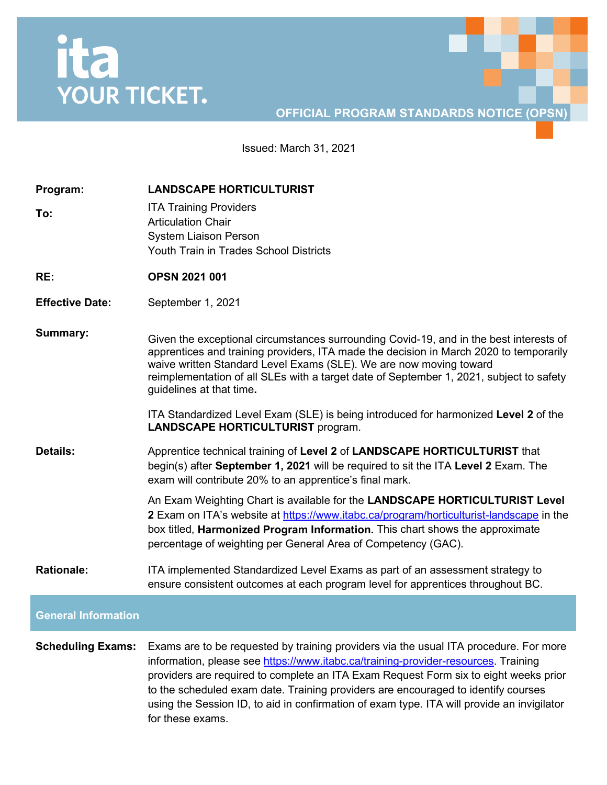## ita<br>YOUR TICKET.

## **OFFICIAL PROGRAM STANDARDS NOTICE (OPSN)**

Issued: March 31, 2021

| Program:<br>To:            | <b>LANDSCAPE HORTICULTURIST</b><br><b>ITA Training Providers</b><br><b>Articulation Chair</b><br><b>System Liaison Person</b><br>Youth Train in Trades School Districts                                                                                                                                                                                                                                                                                                    |
|----------------------------|----------------------------------------------------------------------------------------------------------------------------------------------------------------------------------------------------------------------------------------------------------------------------------------------------------------------------------------------------------------------------------------------------------------------------------------------------------------------------|
| RE:                        | <b>OPSN 2021 001</b>                                                                                                                                                                                                                                                                                                                                                                                                                                                       |
| <b>Effective Date:</b>     | September 1, 2021                                                                                                                                                                                                                                                                                                                                                                                                                                                          |
| <b>Summary:</b>            | Given the exceptional circumstances surrounding Covid-19, and in the best interests of<br>apprentices and training providers, ITA made the decision in March 2020 to temporarily<br>waive written Standard Level Exams (SLE). We are now moving toward<br>reimplementation of all SLEs with a target date of September 1, 2021, subject to safety<br>guidelines at that time.                                                                                              |
|                            | ITA Standardized Level Exam (SLE) is being introduced for harmonized Level 2 of the<br><b>LANDSCAPE HORTICULTURIST program.</b>                                                                                                                                                                                                                                                                                                                                            |
| <b>Details:</b>            | Apprentice technical training of Level 2 of LANDSCAPE HORTICULTURIST that<br>begin(s) after September 1, 2021 will be required to sit the ITA Level 2 Exam. The<br>exam will contribute 20% to an apprentice's final mark.                                                                                                                                                                                                                                                 |
|                            | An Exam Weighting Chart is available for the LANDSCAPE HORTICULTURIST Level<br><b>2</b> Exam on ITA's website at https://www.itabc.ca/program/horticulturist-landscape in the<br>box titled, Harmonized Program Information. This chart shows the approximate<br>percentage of weighting per General Area of Competency (GAC).                                                                                                                                             |
| <b>Rationale:</b>          | ITA implemented Standardized Level Exams as part of an assessment strategy to<br>ensure consistent outcomes at each program level for apprentices throughout BC.                                                                                                                                                                                                                                                                                                           |
| <b>General Information</b> |                                                                                                                                                                                                                                                                                                                                                                                                                                                                            |
| <b>Scheduling Exams:</b>   | Exams are to be requested by training providers via the usual ITA procedure. For more<br>information, please see https://www.itabc.ca/training-provider-resources. Training<br>providers are required to complete an ITA Exam Request Form six to eight weeks prior<br>to the scheduled exam date. Training providers are encouraged to identify courses<br>using the Session ID, to aid in confirmation of exam type. ITA will provide an invigilator<br>for these exams. |